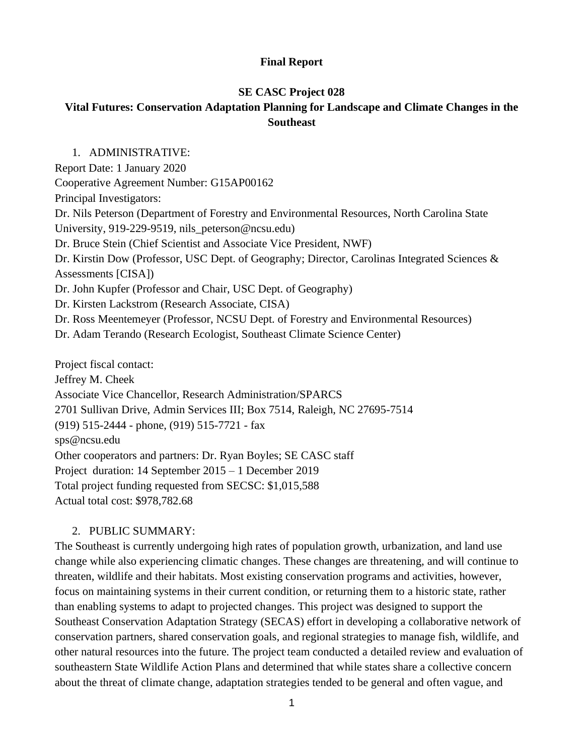## **Final Report**

## **SE CASC Project 028**

# **Vital Futures: Conservation Adaptation Planning for Landscape and Climate Changes in the Southeast**

1. ADMINISTRATIVE: Report Date: 1 January 2020 Cooperative Agreement Number: G15AP00162 Principal Investigators: Dr. Nils Peterson (Department of Forestry and Environmental Resources, North Carolina State University, 919-229-9519, nils\_peterson@ncsu.edu) Dr. Bruce Stein (Chief Scientist and Associate Vice President, NWF) Dr. Kirstin Dow (Professor, USC Dept. of Geography; Director, Carolinas Integrated Sciences & Assessments [CISA]) Dr. John Kupfer (Professor and Chair, USC Dept. of Geography) Dr. Kirsten Lackstrom (Research Associate, CISA) Dr. Ross Meentemeyer (Professor, NCSU Dept. of Forestry and Environmental Resources) Dr. Adam Terando (Research Ecologist, Southeast Climate Science Center) Project fiscal contact:

Jeffrey M. Cheek Associate Vice Chancellor, Research Administration/SPARCS 2701 Sullivan Drive, Admin Services III; Box 7514, Raleigh, NC 27695-7514 (919) 515-2444 - phone, (919) 515-7721 - fax sps@ncsu.edu Other cooperators and partners: Dr. Ryan Boyles; SE CASC staff Project duration: 14 September 2015 – 1 December 2019 Total project funding requested from SECSC: \$1,015,588 Actual total cost: \$978,782.68

## 2. PUBLIC SUMMARY:

The Southeast is currently undergoing high rates of population growth, urbanization, and land use change while also experiencing climatic changes. These changes are threatening, and will continue to threaten, wildlife and their habitats. Most existing conservation programs and activities, however, focus on maintaining systems in their current condition, or returning them to a historic state, rather than enabling systems to adapt to projected changes. This project was designed to support the Southeast Conservation Adaptation Strategy (SECAS) effort in developing a collaborative network of conservation partners, shared conservation goals, and regional strategies to manage fish, wildlife, and other natural resources into the future. The project team conducted a detailed review and evaluation of southeastern State Wildlife Action Plans and determined that while states share a collective concern about the threat of climate change, adaptation strategies tended to be general and often vague, and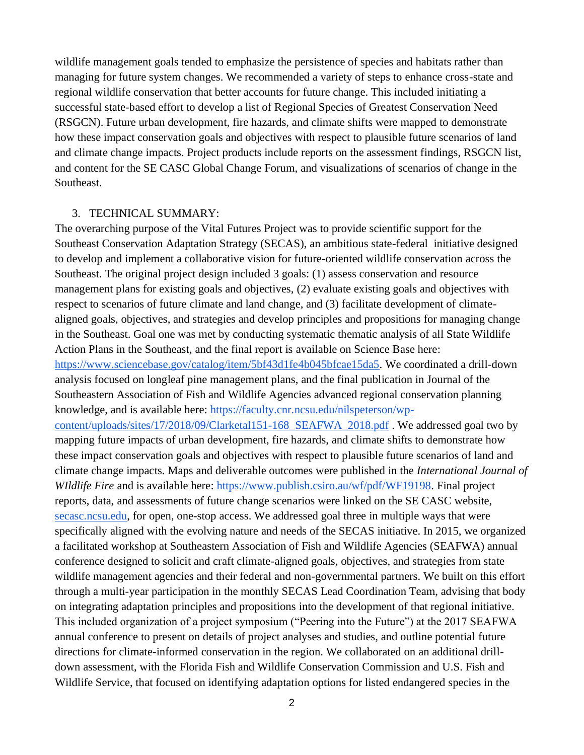wildlife management goals tended to emphasize the persistence of species and habitats rather than managing for future system changes. We recommended a variety of steps to enhance cross-state and regional wildlife conservation that better accounts for future change. This included initiating a successful state-based effort to develop a list of Regional Species of Greatest Conservation Need (RSGCN). Future urban development, fire hazards, and climate shifts were mapped to demonstrate how these impact conservation goals and objectives with respect to plausible future scenarios of land and climate change impacts. Project products include reports on the assessment findings, RSGCN list, and content for the SE CASC Global Change Forum, and visualizations of scenarios of change in the Southeast.

#### 3. TECHNICAL SUMMARY:

The overarching purpose of the Vital Futures Project was to provide scientific support for the Southeast Conservation Adaptation Strategy (SECAS), an ambitious state-federal initiative designed to develop and implement a collaborative vision for future-oriented wildlife conservation across the Southeast. The original project design included 3 goals: (1) assess conservation and resource management plans for existing goals and objectives, (2) evaluate existing goals and objectives with respect to scenarios of future climate and land change, and (3) facilitate development of climatealigned goals, objectives, and strategies and develop principles and propositions for managing change in the Southeast. Goal one was met by conducting systematic thematic analysis of all State Wildlife Action Plans in the Southeast, and the final report is available on Science Base here: [https://www.sciencebase.gov/catalog/item/5bf43d1fe4b045bfcae15da5.](https://www.sciencebase.gov/catalog/item/5bf43d1fe4b045bfcae15da5) We coordinated a drill-down analysis focused on longleaf pine management plans, and the final publication in Journal of the Southeastern Association of Fish and Wildlife Agencies advanced regional conservation planning knowledge, and is available here: [https://faculty.cnr.ncsu.edu/nilspeterson/wp](https://faculty.cnr.ncsu.edu/nilspeterson/wp-content/uploads/sites/17/2018/09/Clarketal151-168_SEAFWA_2018.pdf)[content/uploads/sites/17/2018/09/Clarketal151-168\\_SEAFWA\\_2018.pdf](https://faculty.cnr.ncsu.edu/nilspeterson/wp-content/uploads/sites/17/2018/09/Clarketal151-168_SEAFWA_2018.pdf) . We addressed goal two by mapping future impacts of urban development, fire hazards, and climate shifts to demonstrate how these impact conservation goals and objectives with respect to plausible future scenarios of land and climate change impacts. Maps and deliverable outcomes were published in the *International Journal of WIldlife Fire* and is available here: [https://www.publish.csiro.au/wf/pdf/WF19198.](https://www.publish.csiro.au/wf/pdf/WF19198) Final project reports, data, and assessments of future change scenarios were linked on the SE CASC website, [secasc.ncsu.edu,](https://secasc.ncsu.edu/) for open, one-stop access. We addressed goal three in multiple ways that were specifically aligned with the evolving nature and needs of the SECAS initiative. In 2015, we organized a facilitated workshop at Southeastern Association of Fish and Wildlife Agencies (SEAFWA) annual conference designed to solicit and craft climate-aligned goals, objectives, and strategies from state wildlife management agencies and their federal and non-governmental partners. We built on this effort through a multi-year participation in the monthly SECAS Lead Coordination Team, advising that body on integrating adaptation principles and propositions into the development of that regional initiative. This included organization of a project symposium ("Peering into the Future") at the 2017 SEAFWA annual conference to present on details of project analyses and studies, and outline potential future directions for climate-informed conservation in the region. We collaborated on an additional drilldown assessment, with the Florida Fish and Wildlife Conservation Commission and U.S. Fish and Wildlife Service, that focused on identifying adaptation options for listed endangered species in the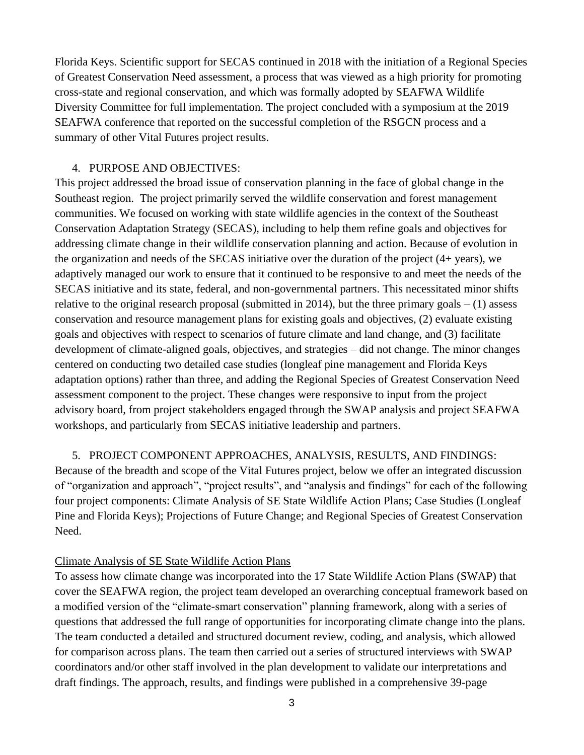Florida Keys. Scientific support for SECAS continued in 2018 with the initiation of a Regional Species of Greatest Conservation Need assessment, a process that was viewed as a high priority for promoting cross-state and regional conservation, and which was formally adopted by SEAFWA Wildlife Diversity Committee for full implementation. The project concluded with a symposium at the 2019 SEAFWA conference that reported on the successful completion of the RSGCN process and a summary of other Vital Futures project results.

#### 4. PURPOSE AND OBJECTIVES:

This project addressed the broad issue of conservation planning in the face of global change in the Southeast region. The project primarily served the wildlife conservation and forest management communities. We focused on working with state wildlife agencies in the context of the Southeast Conservation Adaptation Strategy (SECAS), including to help them refine goals and objectives for addressing climate change in their wildlife conservation planning and action. Because of evolution in the organization and needs of the SECAS initiative over the duration of the project (4+ years), we adaptively managed our work to ensure that it continued to be responsive to and meet the needs of the SECAS initiative and its state, federal, and non-governmental partners. This necessitated minor shifts relative to the original research proposal (submitted in 2014), but the three primary goals  $- (1)$  assess conservation and resource management plans for existing goals and objectives, (2) evaluate existing goals and objectives with respect to scenarios of future climate and land change, and (3) facilitate development of climate-aligned goals, objectives, and strategies – did not change. The minor changes centered on conducting two detailed case studies (longleaf pine management and Florida Keys adaptation options) rather than three, and adding the Regional Species of Greatest Conservation Need assessment component to the project. These changes were responsive to input from the project advisory board, from project stakeholders engaged through the SWAP analysis and project SEAFWA workshops, and particularly from SECAS initiative leadership and partners.

5. PROJECT COMPONENT APPROACHES, ANALYSIS, RESULTS, AND FINDINGS:

Because of the breadth and scope of the Vital Futures project, below we offer an integrated discussion of "organization and approach", "project results", and "analysis and findings" for each of the following four project components: Climate Analysis of SE State Wildlife Action Plans; Case Studies (Longleaf Pine and Florida Keys); Projections of Future Change; and Regional Species of Greatest Conservation Need.

#### Climate Analysis of SE State Wildlife Action Plans

To assess how climate change was incorporated into the 17 State Wildlife Action Plans (SWAP) that cover the SEAFWA region, the project team developed an overarching conceptual framework based on a modified version of the "climate-smart conservation" planning framework, along with a series of questions that addressed the full range of opportunities for incorporating climate change into the plans. The team conducted a detailed and structured document review, coding, and analysis, which allowed for comparison across plans. The team then carried out a series of structured interviews with SWAP coordinators and/or other staff involved in the plan development to validate our interpretations and draft findings. The approach, results, and findings were published in a comprehensive 39-page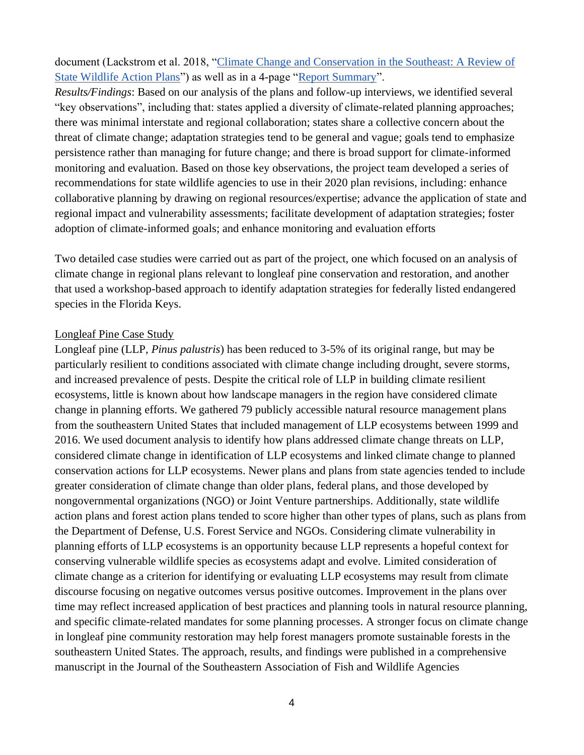document (Lackstrom et al. 2018, ["Climate Change and Conservation in the Southeast: A Review of](https://secasc.ncsu.edu/wp-content/uploads/sites/14/2019/05/SE-SWAP-Analysis-Full-Report.pdf)  [State Wildlife Action Plans"](https://secasc.ncsu.edu/wp-content/uploads/sites/14/2019/05/SE-SWAP-Analysis-Full-Report.pdf)) as well as in a 4-page ["Report Summary"](https://globalchange.ncsu.edu/secsc/wp-content/uploads/SE-SWAP-Analysis-Report-Summary.pdf).

*Results/Findings*: Based on our analysis of the plans and follow-up interviews, we identified several "key observations", including that: states applied a diversity of climate-related planning approaches; there was minimal interstate and regional collaboration; states share a collective concern about the threat of climate change; adaptation strategies tend to be general and vague; goals tend to emphasize persistence rather than managing for future change; and there is broad support for climate-informed monitoring and evaluation. Based on those key observations, the project team developed a series of recommendations for state wildlife agencies to use in their 2020 plan revisions, including: enhance collaborative planning by drawing on regional resources/expertise; advance the application of state and regional impact and vulnerability assessments; facilitate development of adaptation strategies; foster adoption of climate-informed goals; and enhance monitoring and evaluation efforts

Two detailed case studies were carried out as part of the project, one which focused on an analysis of climate change in regional plans relevant to longleaf pine conservation and restoration, and another that used a workshop-based approach to identify adaptation strategies for federally listed endangered species in the Florida Keys.

#### Longleaf Pine Case Study

Longleaf pine (LLP, *Pinus palustris*) has been reduced to 3-5% of its original range, but may be particularly resilient to conditions associated with climate change including drought, severe storms, and increased prevalence of pests. Despite the critical role of LLP in building climate resilient ecosystems, little is known about how landscape managers in the region have considered climate change in planning efforts. We gathered 79 publicly accessible natural resource management plans from the southeastern United States that included management of LLP ecosystems between 1999 and 2016. We used document analysis to identify how plans addressed climate change threats on LLP, considered climate change in identification of LLP ecosystems and linked climate change to planned conservation actions for LLP ecosystems. Newer plans and plans from state agencies tended to include greater consideration of climate change than older plans, federal plans, and those developed by nongovernmental organizations (NGO) or Joint Venture partnerships. Additionally, state wildlife action plans and forest action plans tended to score higher than other types of plans, such as plans from the Department of Defense, U.S. Forest Service and NGOs. Considering climate vulnerability in planning efforts of LLP ecosystems is an opportunity because LLP represents a hopeful context for conserving vulnerable wildlife species as ecosystems adapt and evolve. Limited consideration of climate change as a criterion for identifying or evaluating LLP ecosystems may result from climate discourse focusing on negative outcomes versus positive outcomes. Improvement in the plans over time may reflect increased application of best practices and planning tools in natural resource planning, and specific climate-related mandates for some planning processes. A stronger focus on climate change in longleaf pine community restoration may help forest managers promote sustainable forests in the southeastern United States. The approach, results, and findings were published in a comprehensive manuscript in the Journal of the Southeastern Association of Fish and Wildlife Agencies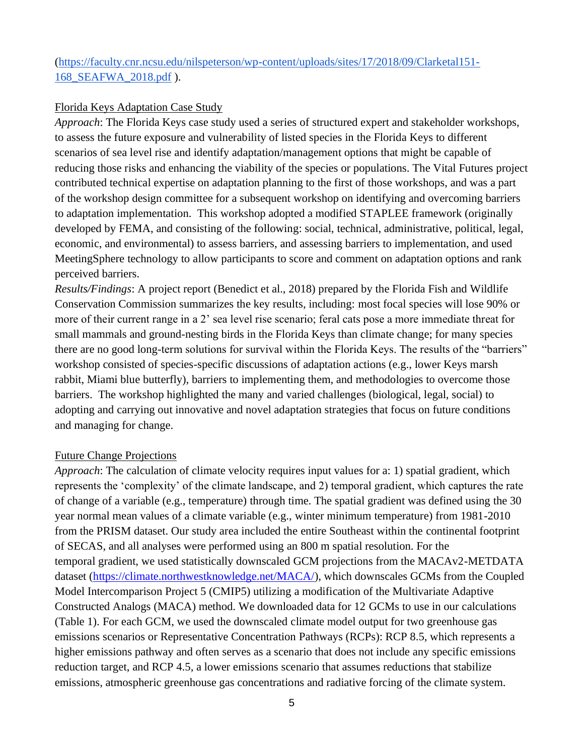[\(https://faculty.cnr.ncsu.edu/nilspeterson/wp-content/uploads/sites/17/2018/09/Clarketal151-](https://faculty.cnr.ncsu.edu/nilspeterson/wp-content/uploads/sites/17/2018/09/Clarketal151-168_SEAFWA_2018.pdf) [168\\_SEAFWA\\_2018.pdf](https://faculty.cnr.ncsu.edu/nilspeterson/wp-content/uploads/sites/17/2018/09/Clarketal151-168_SEAFWA_2018.pdf) ).

#### Florida Keys Adaptation Case Study

*Approach*: The Florida Keys case study used a series of structured expert and stakeholder workshops, to assess the future exposure and vulnerability of listed species in the Florida Keys to different scenarios of sea level rise and identify adaptation/management options that might be capable of reducing those risks and enhancing the viability of the species or populations. The Vital Futures project contributed technical expertise on adaptation planning to the first of those workshops, and was a part of the workshop design committee for a subsequent workshop on identifying and overcoming barriers to adaptation implementation. This workshop adopted a modified STAPLEE framework (originally developed by FEMA, and consisting of the following: social, technical, administrative, political, legal, economic, and environmental) to assess barriers, and assessing barriers to implementation, and used MeetingSphere technology to allow participants to score and comment on adaptation options and rank perceived barriers.

*Results/Findings*: A project report (Benedict et al., 2018) prepared by the Florida Fish and Wildlife Conservation Commission summarizes the key results, including: most focal species will lose 90% or more of their current range in a 2' sea level rise scenario; feral cats pose a more immediate threat for small mammals and ground-nesting birds in the Florida Keys than climate change; for many species there are no good long-term solutions for survival within the Florida Keys. The results of the "barriers" workshop consisted of species-specific discussions of adaptation actions (e.g., lower Keys marsh rabbit, Miami blue butterfly), barriers to implementing them, and methodologies to overcome those barriers. The workshop highlighted the many and varied challenges (biological, legal, social) to adopting and carrying out innovative and novel adaptation strategies that focus on future conditions and managing for change.

#### Future Change Projections

*Approach*: The calculation of climate velocity requires input values for a: 1) spatial gradient, which represents the 'complexity' of the climate landscape, and 2) temporal gradient, which captures the rate of change of a variable (e.g., temperature) through time. The spatial gradient was defined using the 30 year normal mean values of a climate variable (e.g., winter minimum temperature) from 1981-2010 from the PRISM dataset. Our study area included the entire Southeast within the continental footprint of SECAS, and all analyses were performed using an 800 m spatial resolution. For the temporal gradient, we used statistically downscaled GCM projections from the MACAv2-METDATA dataset [\(https://climate.northwestknowledge.net/MACA/\)](https://climate.northwestknowledge.net/MACA/), which downscales GCMs from the Coupled Model Intercomparison Project 5 (CMIP5) utilizing a modification of the Multivariate Adaptive Constructed Analogs (MACA) method. We downloaded data for 12 GCMs to use in our calculations (Table 1). For each GCM, we used the downscaled climate model output for two greenhouse gas emissions scenarios or Representative Concentration Pathways (RCPs): RCP 8.5, which represents a higher emissions pathway and often serves as a scenario that does not include any specific emissions reduction target, and RCP 4.5, a lower emissions scenario that assumes reductions that stabilize emissions, atmospheric greenhouse gas concentrations and radiative forcing of the climate system.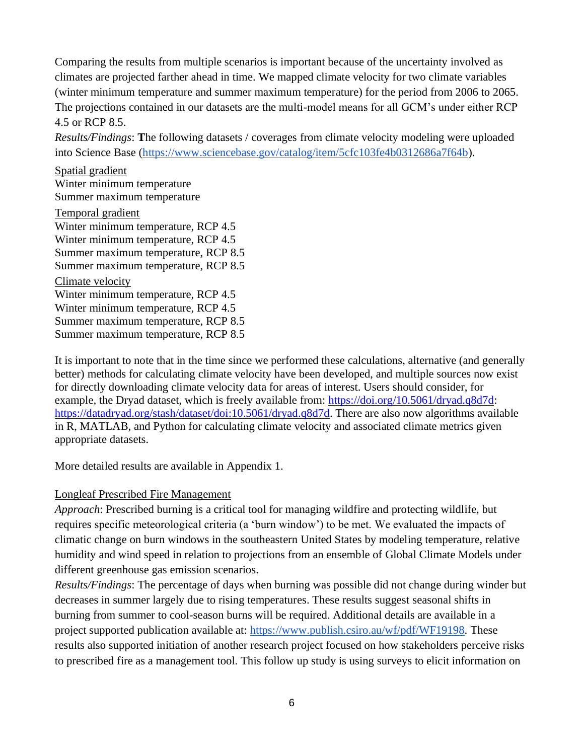Comparing the results from multiple scenarios is important because of the uncertainty involved as climates are projected farther ahead in time. We mapped climate velocity for two climate variables (winter minimum temperature and summer maximum temperature) for the period from 2006 to 2065. The projections contained in our datasets are the multi-model means for all GCM's under either RCP 4.5 or RCP 8.5.

*Results/Findings*: **T**he following datasets / coverages from climate velocity modeling were uploaded into Science Base [\(https://www.sciencebase.gov/catalog/item/5cfc103fe4b0312686a7f64b\)](https://www.sciencebase.gov/catalog/item/5cfc103fe4b0312686a7f64b).

Spatial gradient Winter minimum temperature Summer maximum temperature Temporal gradient Winter minimum temperature, RCP 4.5 Winter minimum temperature, RCP 4.5 Summer maximum temperature, RCP 8.5 Summer maximum temperature, RCP 8.5 Climate velocity Winter minimum temperature, RCP 4.5 Winter minimum temperature, RCP 4.5 Summer maximum temperature, RCP 8.5 Summer maximum temperature, RCP 8.5

It is important to note that in the time since we performed these calculations, alternative (and generally better) methods for calculating climate velocity have been developed, and multiple sources now exist for directly downloading climate velocity data for areas of interest. Users should consider, for example, the Dryad dataset, which is freely available from: [https://doi.org/10.5061/dryad.q8d7d:](https://doi.org/10.5061/dryad.q8d7d) [https://datadryad.org/stash/dataset/doi:10.5061/dryad.q8d7d.](https://datadryad.org/stash/dataset/doi:10.5061/dryad.q8d7d) There are also now algorithms available in R, MATLAB, and Python for calculating climate velocity and associated climate metrics given appropriate datasets.

More detailed results are available in Appendix 1.

## Longleaf Prescribed Fire Management

*Approach*: Prescribed burning is a critical tool for managing wildfire and protecting wildlife, but requires specific meteorological criteria (a 'burn window') to be met. We evaluated the impacts of climatic change on burn windows in the southeastern United States by modeling temperature, relative humidity and wind speed in relation to projections from an ensemble of Global Climate Models under different greenhouse gas emission scenarios.

*Results/Findings*: The percentage of days when burning was possible did not change during winder but decreases in summer largely due to rising temperatures. These results suggest seasonal shifts in burning from summer to cool-season burns will be required. Additional details are available in a project supported publication available at: [https://www.publish.csiro.au/wf/pdf/WF19198.](https://www.publish.csiro.au/wf/pdf/WF19198) These results also supported initiation of another research project focused on how stakeholders perceive risks to prescribed fire as a management tool. This follow up study is using surveys to elicit information on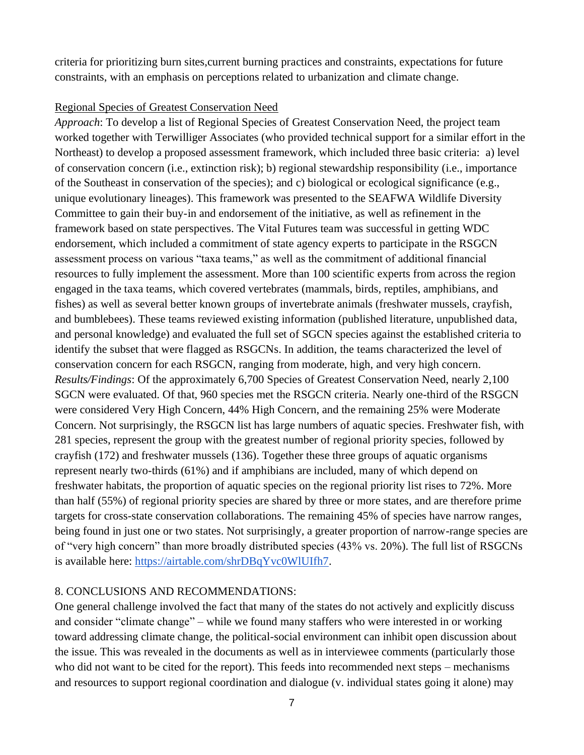criteria for prioritizing burn sites,current burning practices and constraints, expectations for future constraints, with an emphasis on perceptions related to urbanization and climate change.

#### Regional Species of Greatest Conservation Need

*Approach*: To develop a list of Regional Species of Greatest Conservation Need, the project team worked together with Terwilliger Associates (who provided technical support for a similar effort in the Northeast) to develop a proposed assessment framework, which included three basic criteria: a) level of conservation concern (i.e., extinction risk); b) regional stewardship responsibility (i.e., importance of the Southeast in conservation of the species); and c) biological or ecological significance (e.g., unique evolutionary lineages). This framework was presented to the SEAFWA Wildlife Diversity Committee to gain their buy-in and endorsement of the initiative, as well as refinement in the framework based on state perspectives. The Vital Futures team was successful in getting WDC endorsement, which included a commitment of state agency experts to participate in the RSGCN assessment process on various "taxa teams," as well as the commitment of additional financial resources to fully implement the assessment. More than 100 scientific experts from across the region engaged in the taxa teams, which covered vertebrates (mammals, birds, reptiles, amphibians, and fishes) as well as several better known groups of invertebrate animals (freshwater mussels, crayfish, and bumblebees). These teams reviewed existing information (published literature, unpublished data, and personal knowledge) and evaluated the full set of SGCN species against the established criteria to identify the subset that were flagged as RSGCNs. In addition, the teams characterized the level of conservation concern for each RSGCN, ranging from moderate, high, and very high concern. *Results/Findings*: Of the approximately 6,700 Species of Greatest Conservation Need, nearly 2,100 SGCN were evaluated. Of that, 960 species met the RSGCN criteria. Nearly one-third of the RSGCN were considered Very High Concern, 44% High Concern, and the remaining 25% were Moderate Concern. Not surprisingly, the RSGCN list has large numbers of aquatic species. Freshwater fish, with 281 species, represent the group with the greatest number of regional priority species, followed by crayfish (172) and freshwater mussels (136). Together these three groups of aquatic organisms represent nearly two-thirds (61%) and if amphibians are included, many of which depend on freshwater habitats, the proportion of aquatic species on the regional priority list rises to 72%. More than half (55%) of regional priority species are shared by three or more states, and are therefore prime targets for cross-state conservation collaborations. The remaining 45% of species have narrow ranges, being found in just one or two states. Not surprisingly, a greater proportion of narrow-range species are of "very high concern" than more broadly distributed species (43% vs. 20%). The full list of RSGCNs is available here: [https://airtable.com/shrDBqYvc0WlUIfh7.](https://airtable.com/shrDBqYvc0WlUIfh7)

## 8. CONCLUSIONS AND RECOMMENDATIONS:

One general challenge involved the fact that many of the states do not actively and explicitly discuss and consider "climate change" – while we found many staffers who were interested in or working toward addressing climate change, the political-social environment can inhibit open discussion about the issue. This was revealed in the documents as well as in interviewee comments (particularly those who did not want to be cited for the report). This feeds into recommended next steps – mechanisms and resources to support regional coordination and dialogue (v. individual states going it alone) may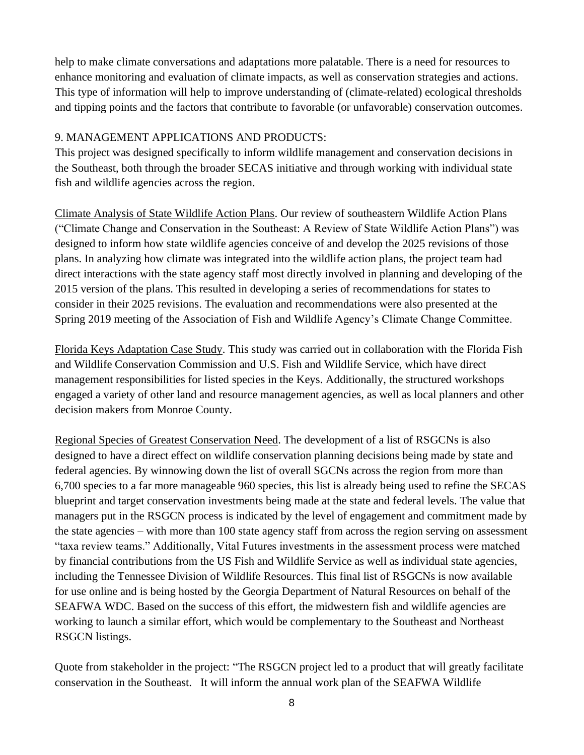help to make climate conversations and adaptations more palatable. There is a need for resources to enhance monitoring and evaluation of climate impacts, as well as conservation strategies and actions. This type of information will help to improve understanding of (climate-related) ecological thresholds and tipping points and the factors that contribute to favorable (or unfavorable) conservation outcomes.

## 9. MANAGEMENT APPLICATIONS AND PRODUCTS:

This project was designed specifically to inform wildlife management and conservation decisions in the Southeast, both through the broader SECAS initiative and through working with individual state fish and wildlife agencies across the region.

Climate Analysis of State Wildlife Action Plans. Our review of southeastern Wildlife Action Plans ("Climate Change and Conservation in the Southeast: A Review of State Wildlife Action Plans") was designed to inform how state wildlife agencies conceive of and develop the 2025 revisions of those plans. In analyzing how climate was integrated into the wildlife action plans, the project team had direct interactions with the state agency staff most directly involved in planning and developing of the 2015 version of the plans. This resulted in developing a series of recommendations for states to consider in their 2025 revisions. The evaluation and recommendations were also presented at the Spring 2019 meeting of the Association of Fish and Wildlife Agency's Climate Change Committee.

Florida Keys Adaptation Case Study. This study was carried out in collaboration with the Florida Fish and Wildlife Conservation Commission and U.S. Fish and Wildlife Service, which have direct management responsibilities for listed species in the Keys. Additionally, the structured workshops engaged a variety of other land and resource management agencies, as well as local planners and other decision makers from Monroe County.

Regional Species of Greatest Conservation Need. The development of a list of RSGCNs is also designed to have a direct effect on wildlife conservation planning decisions being made by state and federal agencies. By winnowing down the list of overall SGCNs across the region from more than 6,700 species to a far more manageable 960 species, this list is already being used to refine the SECAS blueprint and target conservation investments being made at the state and federal levels. The value that managers put in the RSGCN process is indicated by the level of engagement and commitment made by the state agencies – with more than 100 state agency staff from across the region serving on assessment "taxa review teams." Additionally, Vital Futures investments in the assessment process were matched by financial contributions from the US Fish and Wildlife Service as well as individual state agencies, including the Tennessee Division of Wildlife Resources. This final list of RSGCNs is now available for use online and is being hosted by the Georgia Department of Natural Resources on behalf of the SEAFWA WDC. Based on the success of this effort, the midwestern fish and wildlife agencies are working to launch a similar effort, which would be complementary to the Southeast and Northeast RSGCN listings.

Quote from stakeholder in the project: "The RSGCN project led to a product that will greatly facilitate conservation in the Southeast. It will inform the annual work plan of the SEAFWA Wildlife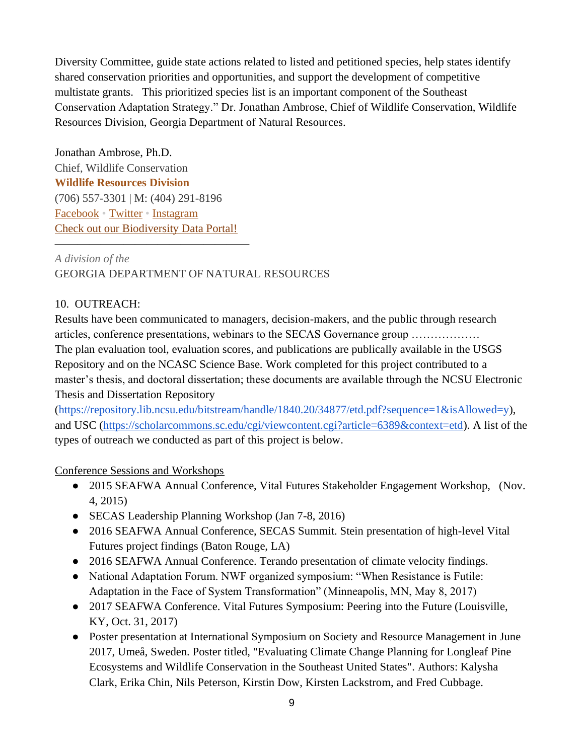Diversity Committee, guide state actions related to listed and petitioned species, help states identify shared conservation priorities and opportunities, and support the development of competitive multistate grants. This prioritized species list is an important component of the Southeast Conservation Adaptation Strategy." Dr. Jonathan Ambrose, Chief of Wildlife Conservation, Wildlife Resources Division, Georgia Department of Natural Resources.

Jonathan Ambrose, Ph.D. Chief, Wildlife Conservation **[Wildlife Resources Division](http://georgiawildlife.com/)** (706) 557-3301 | M: (404) 291-8196 [Facebook](http://www.facebook.com/WildlifeResourcesDivisionGADNR) • [Twitter](http://twitter.com/georgiawild) • [Instagram](http://www.instagram.com/georgiawildlife) [Check out our Biodiversity Data Portal!](https://georgiabiodiversity.org/)

 $\overline{\phantom{a}}$  , and the contract of the contract of the contract of the contract of the contract of the contract of the contract of the contract of the contract of the contract of the contract of the contract of the contrac

# *A division of the* GEORGIA DEPARTMENT OF NATURAL RESOURCES

## 10. OUTREACH:

Results have been communicated to managers, decision-makers, and the public through research articles, conference presentations, webinars to the SECAS Governance group ……………… The plan evaluation tool, evaluation scores, and publications are publically available in the USGS Repository and on the NCASC Science Base. Work completed for this project contributed to a master's thesis, and doctoral dissertation; these documents are available through the NCSU Electronic Thesis and Dissertation Repository

[\(https://repository.lib.ncsu.edu/bitstream/handle/1840.20/34877/etd.pdf?sequence=1&isAllowed=y\)](https://repository.lib.ncsu.edu/bitstream/handle/1840.20/34877/etd.pdf?sequence=1&isAllowed=y), and USC [\(https://scholarcommons.sc.edu/cgi/viewcontent.cgi?article=6389&context=etd\)](https://scholarcommons.sc.edu/cgi/viewcontent.cgi?article=6389&context=etd). A list of the types of outreach we conducted as part of this project is below.

## Conference Sessions and Workshops

- 2015 SEAFWA Annual Conference, Vital Futures Stakeholder Engagement Workshop, (Nov. 4, 2015)
- SECAS Leadership Planning Workshop (Jan 7-8, 2016)
- 2016 SEAFWA Annual Conference, SECAS Summit. Stein presentation of high-level Vital Futures project findings (Baton Rouge, LA)
- 2016 SEAFWA Annual Conference. Terando presentation of climate velocity findings.
- National Adaptation Forum. NWF organized symposium: "When Resistance is Futile: Adaptation in the Face of System Transformation" (Minneapolis, MN, May 8, 2017)
- 2017 SEAFWA Conference. Vital Futures Symposium: Peering into the Future (Louisville, KY, Oct. 31, 2017)
- Poster presentation at International Symposium on Society and Resource Management in June 2017, Umeå, Sweden. Poster titled, "Evaluating Climate Change Planning for Longleaf Pine Ecosystems and Wildlife Conservation in the Southeast United States". Authors: Kalysha Clark, Erika Chin, Nils Peterson, Kirstin Dow, Kirsten Lackstrom, and Fred Cubbage.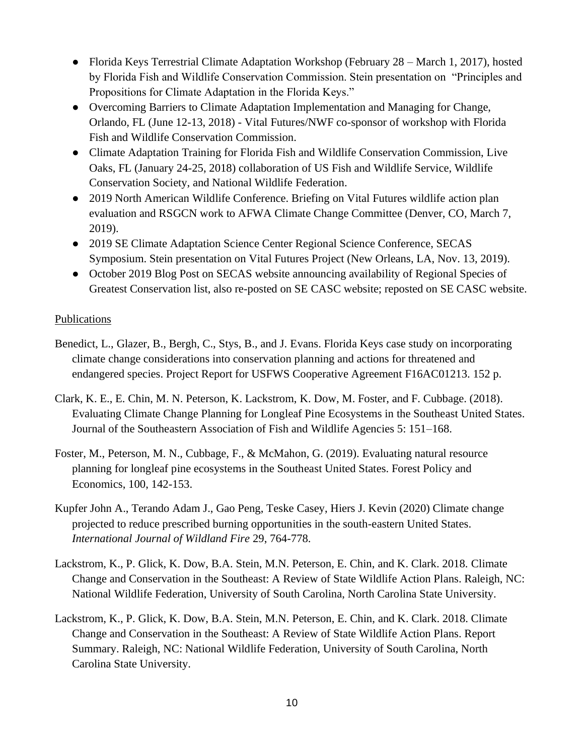- Florida Keys Terrestrial Climate Adaptation Workshop (February 28 March 1, 2017), hosted by Florida Fish and Wildlife Conservation Commission. Stein presentation on "Principles and Propositions for Climate Adaptation in the Florida Keys."
- Overcoming Barriers to Climate Adaptation Implementation and Managing for Change, Orlando, FL (June 12-13, 2018) - Vital Futures/NWF co-sponsor of workshop with Florida Fish and Wildlife Conservation Commission.
- Climate Adaptation Training for Florida Fish and Wildlife Conservation Commission, Live Oaks, FL (January 24-25, 2018) collaboration of US Fish and Wildlife Service, Wildlife Conservation Society, and National Wildlife Federation.
- 2019 North American Wildlife Conference. Briefing on Vital Futures wildlife action plan evaluation and RSGCN work to AFWA Climate Change Committee (Denver, CO, March 7, 2019).
- 2019 SE Climate Adaptation Science Center Regional Science Conference, SECAS Symposium. Stein presentation on Vital Futures Project (New Orleans, LA, Nov. 13, 2019).
- October 2019 Blog Post on SECAS website announcing availability of Regional Species of Greatest Conservation list, also re-posted on SE CASC website; reposted on SE CASC website.

## Publications

- Benedict, L., Glazer, B., Bergh, C., Stys, B., and J. Evans. Florida Keys case study on incorporating climate change considerations into conservation planning and actions for threatened and endangered species. Project Report for USFWS Cooperative Agreement F16AC01213. 152 p.
- Clark, K. E., E. Chin, M. N. Peterson, K. Lackstrom, K. Dow, M. Foster, and F. Cubbage. (2018). Evaluating Climate Change Planning for Longleaf Pine Ecosystems in the Southeast United States. Journal of the Southeastern Association of Fish and Wildlife Agencies 5: 151–168.
- Foster, M., Peterson, M. N., Cubbage, F., & McMahon, G. (2019). Evaluating natural resource planning for longleaf pine ecosystems in the Southeast United States. Forest Policy and Economics, 100, 142-153.
- Kupfer John A., Terando Adam J., Gao Peng, Teske Casey, Hiers J. Kevin (2020) Climate change projected to reduce prescribed burning opportunities in the south-eastern United States. *International Journal of Wildland Fire* 29, 764-778.
- Lackstrom, K., P. Glick, K. Dow, B.A. Stein, M.N. Peterson, E. Chin, and K. Clark. 2018. Climate Change and Conservation in the Southeast: A Review of State Wildlife Action Plans. Raleigh, NC: National Wildlife Federation, University of South Carolina, North Carolina State University.
- Lackstrom, K., P. Glick, K. Dow, B.A. Stein, M.N. Peterson, E. Chin, and K. Clark. 2018. Climate Change and Conservation in the Southeast: A Review of State Wildlife Action Plans. Report Summary. Raleigh, NC: National Wildlife Federation, University of South Carolina, North Carolina State University.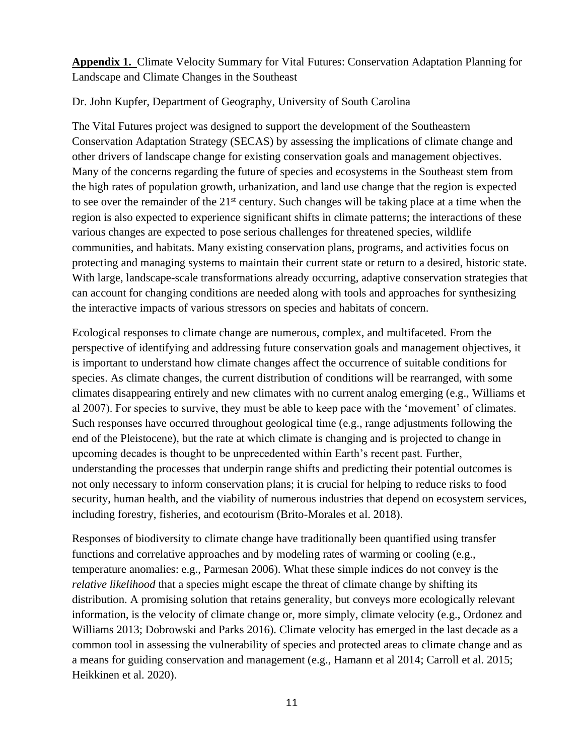**Appendix 1.** Climate Velocity Summary for Vital Futures: Conservation Adaptation Planning for Landscape and Climate Changes in the Southeast

#### Dr. John Kupfer, Department of Geography, University of South Carolina

The Vital Futures project was designed to support the development of the Southeastern Conservation Adaptation Strategy (SECAS) by assessing the implications of climate change and other drivers of landscape change for existing conservation goals and management objectives. Many of the concerns regarding the future of species and ecosystems in the Southeast stem from the high rates of population growth, urbanization, and land use change that the region is expected to see over the remainder of the 21<sup>st</sup> century. Such changes will be taking place at a time when the region is also expected to experience significant shifts in climate patterns; the interactions of these various changes are expected to pose serious challenges for threatened species, wildlife communities, and habitats. Many existing conservation plans, programs, and activities focus on protecting and managing systems to maintain their current state or return to a desired, historic state. With large, landscape-scale transformations already occurring, adaptive conservation strategies that can account for changing conditions are needed along with tools and approaches for synthesizing the interactive impacts of various stressors on species and habitats of concern.

Ecological responses to climate change are numerous, complex, and multifaceted. From the perspective of identifying and addressing future conservation goals and management objectives, it is important to understand how climate changes affect the occurrence of suitable conditions for species. As climate changes, the current distribution of conditions will be rearranged, with some climates disappearing entirely and new climates with no current analog emerging (e.g., Williams et al 2007). For species to survive, they must be able to keep pace with the 'movement' of climates. Such responses have occurred throughout geological time (e.g., range adjustments following the end of the Pleistocene), but the rate at which climate is changing and is projected to change in upcoming decades is thought to be unprecedented within Earth's recent past. Further, understanding the processes that underpin range shifts and predicting their potential outcomes is not only necessary to inform conservation plans; it is crucial for helping to reduce risks to food security, human health, and the viability of numerous industries that depend on ecosystem services, including forestry, fisheries, and ecotourism (Brito-Morales et al. 2018).

Responses of biodiversity to climate change have traditionally been quantified using transfer functions and correlative approaches and by modeling rates of warming or cooling (e.g., temperature anomalies: e.g., Parmesan 2006). What these simple indices do not convey is the *relative likelihood* that a species might escape the threat of climate change by shifting its distribution. A promising solution that retains generality, but conveys more ecologically relevant information, is the velocity of climate change or, more simply, climate velocity (e.g., Ordonez and Williams 2013; Dobrowski and Parks 2016). Climate velocity has emerged in the last decade as a common tool in assessing the vulnerability of species and protected areas to climate change and as a means for guiding conservation and management (e.g., Hamann et al 2014; Carroll et al. 2015; Heikkinen et al. 2020).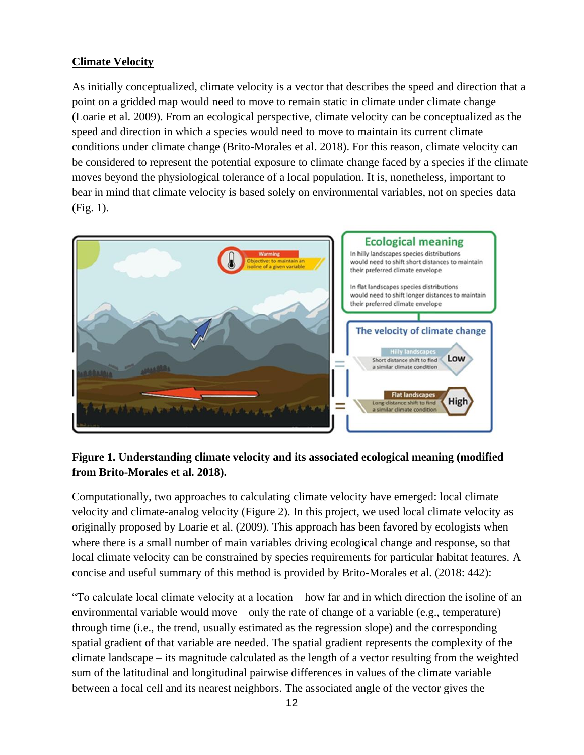## **Climate Velocity**

As initially conceptualized, climate velocity is a vector that describes the speed and direction that a point on a gridded map would need to move to remain static in climate under climate change (Loarie et al. 2009). From an ecological perspective, climate velocity can be conceptualized as the speed and direction in which a species would need to move to maintain its current climate conditions under climate change (Brito-Morales et al. 2018). For this reason, climate velocity can be considered to represent the potential exposure to climate change faced by a species if the climate moves beyond the physiological tolerance of a local population. It is, nonetheless, important to bear in mind that climate velocity is based solely on environmental variables, not on species data (Fig. 1).



## **Figure 1. Understanding climate velocity and its associated ecological meaning (modified from Brito-Morales et al. 2018).**

Computationally, two approaches to calculating climate velocity have emerged: local climate velocity and climate-analog velocity (Figure 2). In this project, we used local climate velocity as originally proposed by Loarie et al. (2009). This approach has been favored by ecologists when where there is a small number of main variables driving ecological change and response, so that local climate velocity can be constrained by species requirements for particular habitat features. A concise and useful summary of this method is provided by Brito-Morales et al. (2018: 442):

"To calculate local climate velocity at a location – how far and in which direction the isoline of an environmental variable would move – only the rate of change of a variable (e.g., temperature) through time (i.e., the trend, usually estimated as the regression slope) and the corresponding spatial gradient of that variable are needed. The spatial gradient represents the complexity of the climate landscape – its magnitude calculated as the length of a vector resulting from the weighted sum of the latitudinal and longitudinal pairwise differences in values of the climate variable between a focal cell and its nearest neighbors. The associated angle of the vector gives the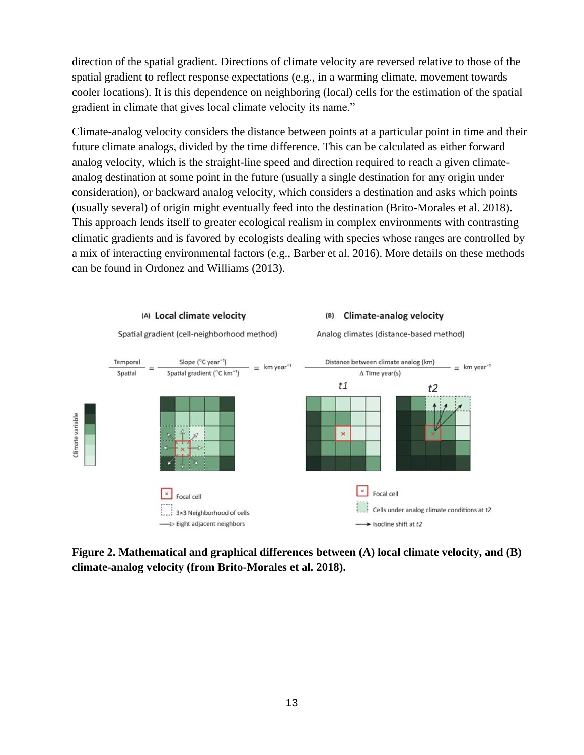direction of the spatial gradient. Directions of climate velocity are reversed relative to those of the spatial gradient to reflect response expectations (e.g., in a warming climate, movement towards cooler locations). It is this dependence on neighboring (local) cells for the estimation of the spatial gradient in climate that gives local climate velocity its name."

Climate-analog velocity considers the distance between points at a particular point in time and their future climate analogs, divided by the time difference. This can be calculated as either forward analog velocity, which is the straight-line speed and direction required to reach a given climateanalog destination at some point in the future (usually a single destination for any origin under consideration), or backward analog velocity, which considers a destination and asks which points (usually several) of origin might eventually feed into the destination (Brito-Morales et al. 2018). This approach lends itself to greater ecological realism in complex environments with contrasting climatic gradients and is favored by ecologists dealing with species whose ranges are controlled by a mix of interacting environmental factors (e.g., Barber et al. 2016). More details on these methods can be found in Ordonez and Williams (2013).



**Figure 2. Mathematical and graphical differences between (A) local climate velocity, and (B) climate-analog velocity (from Brito-Morales et al. 2018).**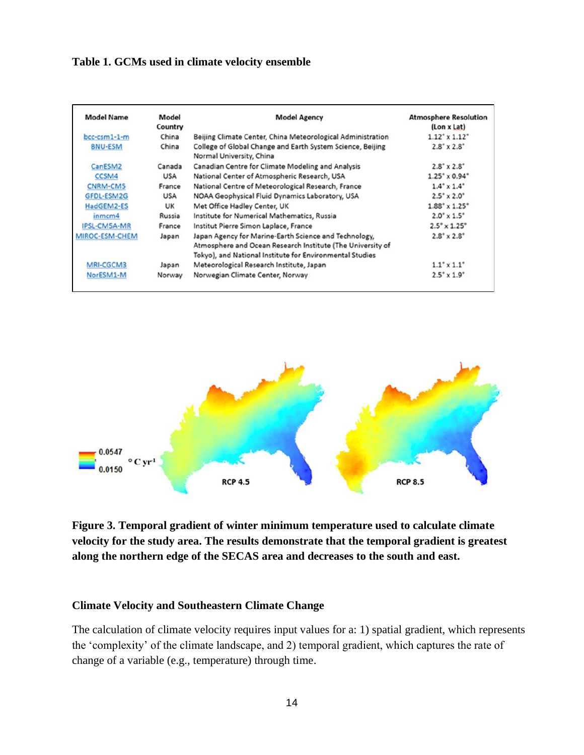#### **Table 1. GCMs used in climate velocity ensemble**

| <b>Model Name</b>   | Model<br>Country | <b>Model Agency</b>                                                                                                                                                             | <b>Atmosphere Resolution</b><br>(Lon x Lat) |
|---------------------|------------------|---------------------------------------------------------------------------------------------------------------------------------------------------------------------------------|---------------------------------------------|
| bcc-csm1-1-m        | China            | Beijing Climate Center, China Meteorological Administration                                                                                                                     | $1.12^{\circ} \times 1.12^{\circ}$          |
| <b>BNU-ESM</b>      | China            | College of Global Change and Earth System Science, Beijing<br>Normal University, China                                                                                          | $2.8^{\circ} \times 2.8^{\circ}$            |
| CanESM2             | Canada           | Canadian Centre for Climate Modeling and Analysis                                                                                                                               | $2.8^{\circ} \times 2.8^{\circ}$            |
| CCSM4               | <b>USA</b>       | National Center of Atmospheric Research, USA                                                                                                                                    | $1.25^{\circ} \times 0.94^{\circ}$          |
| <b>CNRM-CM5</b>     | France           | National Centre of Meteorological Research, France                                                                                                                              | $1.4^{\circ} \times 1.4^{\circ}$            |
| <b>GFDL-ESM2G</b>   | <b>USA</b>       | NOAA Geophysical Fluid Dynamics Laboratory, USA                                                                                                                                 | $2.5^{\circ} \times 2.0^{\circ}$            |
| HadGEM2-ES          | UK               | Met Office Hadley Center, UK                                                                                                                                                    | $1.88^{\circ} \times 1.25^{\circ}$          |
| inmcm4              | Russia           | Institute for Numerical Mathematics, Russia                                                                                                                                     | $2.0^{\circ} \times 1.5^{\circ}$            |
| <b>IPSL-CM5A-MR</b> | France           | Institut Pierre Simon Laplace, France                                                                                                                                           | $2.5^{\circ} \times 1.25^{\circ}$           |
| MIROC-ESM-CHEM      | Japan            | Japan Agency for Marine-Earth Science and Technology,<br>Atmosphere and Ocean Research Institute (The University of<br>Tokyo), and National Institute for Environmental Studies | $2.8^{\circ} \times 2.8^{\circ}$            |
| MRI-CGCM3           | Japan            | Meteorological Research Institute, Japan                                                                                                                                        | $1.1^{\circ} \times 1.1^{\circ}$            |
| NorESM1-M           | Norway           | Norwegian Climate Center, Norway                                                                                                                                                | $2.5^{\circ} \times 1.9^{\circ}$            |



# **Figure 3. Temporal gradient of winter minimum temperature used to calculate climate velocity for the study area. The results demonstrate that the temporal gradient is greatest along the northern edge of the SECAS area and decreases to the south and east.**

#### **Climate Velocity and Southeastern Climate Change**

The calculation of climate velocity requires input values for a: 1) spatial gradient, which represents the 'complexity' of the climate landscape, and 2) temporal gradient, which captures the rate of change of a variable (e.g., temperature) through time.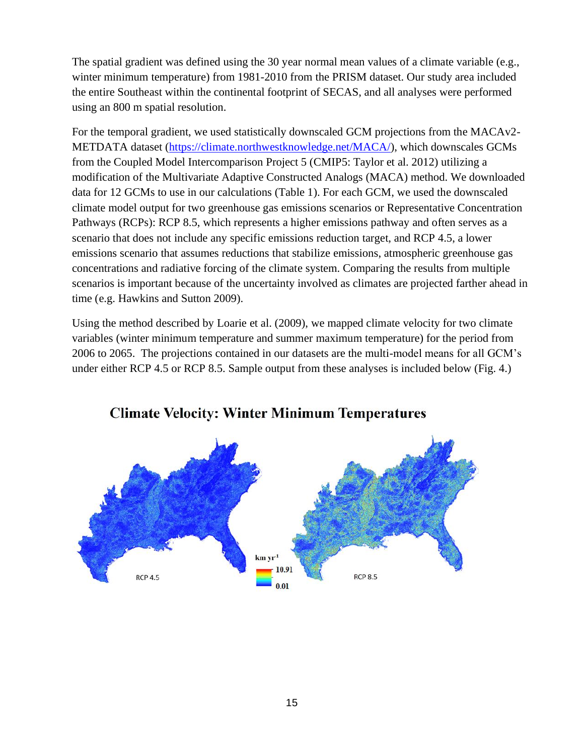The spatial gradient was defined using the 30 year normal mean values of a climate variable (e.g., winter minimum temperature) from 1981-2010 from the PRISM dataset. Our study area included the entire Southeast within the continental footprint of SECAS, and all analyses were performed using an 800 m spatial resolution.

For the temporal gradient, we used statistically downscaled GCM projections from the MACAv2- METDATA dataset [\(https://climate.northwestknowledge.net/MACA/\)](https://climate.northwestknowledge.net/MACA/), which downscales GCMs from the Coupled Model Intercomparison Project 5 (CMIP5: Taylor et al. 2012) utilizing a modification of the Multivariate Adaptive Constructed Analogs (MACA) method. We downloaded data for 12 GCMs to use in our calculations (Table 1). For each GCM, we used the downscaled climate model output for two greenhouse gas emissions scenarios or Representative Concentration Pathways (RCPs): RCP 8.5, which represents a higher emissions pathway and often serves as a scenario that does not include any specific emissions reduction target, and RCP 4.5, a lower emissions scenario that assumes reductions that stabilize emissions, atmospheric greenhouse gas concentrations and radiative forcing of the climate system. Comparing the results from multiple scenarios is important because of the uncertainty involved as climates are projected farther ahead in time (e.g. Hawkins and Sutton 2009).

Using the method described by Loarie et al. (2009), we mapped climate velocity for two climate variables (winter minimum temperature and summer maximum temperature) for the period from 2006 to 2065. The projections contained in our datasets are the multi-model means for all GCM's under either RCP 4.5 or RCP 8.5. Sample output from these analyses is included below (Fig. 4.)



# **Climate Velocity: Winter Minimum Temperatures**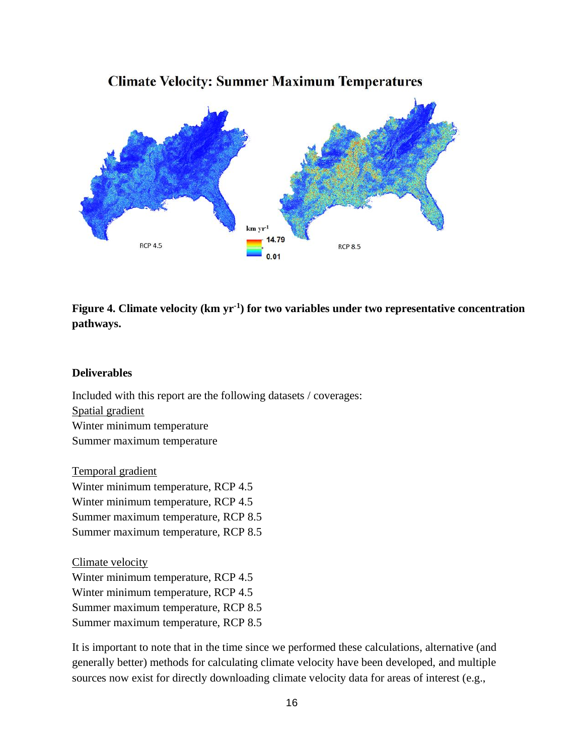

# **Climate Velocity: Summer Maximum Temperatures**

**Figure 4. Climate velocity (km yr-1 ) for two variables under two representative concentration pathways.**

#### **Deliverables**

Included with this report are the following datasets / coverages: Spatial gradient Winter minimum temperature Summer maximum temperature

Temporal gradient Winter minimum temperature, RCP 4.5 Winter minimum temperature, RCP 4.5 Summer maximum temperature, RCP 8.5 Summer maximum temperature, RCP 8.5

Climate velocity Winter minimum temperature, RCP 4.5 Winter minimum temperature, RCP 4.5 Summer maximum temperature, RCP 8.5 Summer maximum temperature, RCP 8.5

It is important to note that in the time since we performed these calculations, alternative (and generally better) methods for calculating climate velocity have been developed, and multiple sources now exist for directly downloading climate velocity data for areas of interest (e.g.,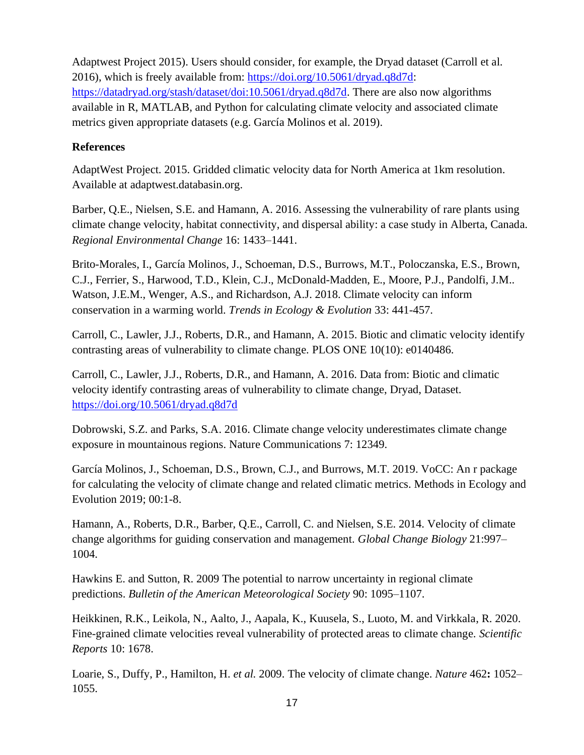Adaptwest Project 2015). Users should consider, for example, the Dryad dataset (Carroll et al. 2016), which is freely available from: [https://doi.org/10.5061/dryad.q8d7d:](https://doi.org/10.5061/dryad.q8d7d) [https://datadryad.org/stash/dataset/doi:10.5061/dryad.q8d7d.](https://datadryad.org/stash/dataset/doi:10.5061/dryad.q8d7d) There are also now algorithms available in R, MATLAB, and Python for calculating climate velocity and associated climate metrics given appropriate datasets (e.g. García Molinos et al. 2019).

## **References**

AdaptWest Project. 2015. Gridded climatic velocity data for North America at 1km resolution. Available at adaptwest.databasin.org.

Barber, Q.E., Nielsen, S.E. and Hamann, A. 2016. Assessing the vulnerability of rare plants using climate change velocity, habitat connectivity, and dispersal ability: a case study in Alberta, Canada. *Regional Environmental Change* 16: 1433–1441.

Brito-Morales, I., García Molinos, J., Schoeman, D.S., Burrows, M.T., Poloczanska, E.S., Brown, C.J., Ferrier, S., Harwood, T.D., Klein, C.J., McDonald-Madden, E., Moore, P.J., Pandolfi, J.M.. Watson, J.E.M., Wenger, A.S., and Richardson, A.J. 2018. Climate velocity can inform conservation in a warming world. *Trends in Ecology & Evolution* 33: 441-457.

Carroll, C., Lawler, J.J., Roberts, D.R., and Hamann, A. 2015. Biotic and climatic velocity identify contrasting areas of vulnerability to climate change. PLOS ONE 10(10): e0140486.

Carroll, C., Lawler, J.J., Roberts, D.R., and Hamann, A. 2016. Data from: Biotic and climatic velocity identify contrasting areas of vulnerability to climate change, Dryad, Dataset. <https://doi.org/10.5061/dryad.q8d7d>

Dobrowski, S.Z. and Parks, S.A. 2016. Climate change velocity underestimates climate change exposure in mountainous regions. Nature Communications 7: 12349.

García Molinos, J., Schoeman, D.S., Brown, C.J., and Burrows, M.T. 2019. VoCC: An r package for calculating the velocity of climate change and related climatic metrics. Methods in Ecology and Evolution 2019; 00:1-8.

Hamann, A., Roberts, D.R., Barber, Q.E., Carroll, C. and Nielsen, S.E. 2014. Velocity of climate change algorithms for guiding conservation and management. *Global Change Biology* 21:997– 1004.

Hawkins E. and Sutton, R. 2009 The potential to narrow uncertainty in regional climate predictions. *Bulletin of the American Meteorological Society* 90: 1095–1107.

Heikkinen, R.K., Leikola, N., Aalto, J., Aapala, K., Kuusela, S., Luoto, M. and Virkkala, R. 2020. Fine-grained climate velocities reveal vulnerability of protected areas to climate change. *Scientific Reports* 10: 1678.

Loarie, S., Duffy, P., Hamilton, H. *et al.* 2009. The velocity of climate change. *Nature* 462**:** 1052– 1055.